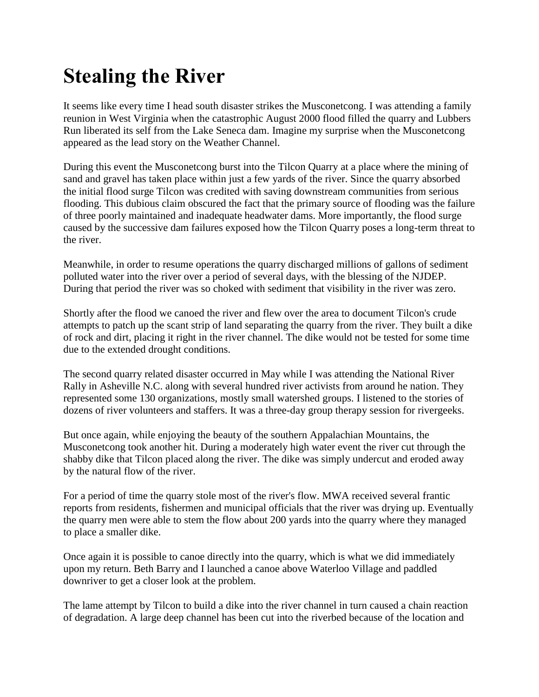## **Stealing the River**

It seems like every time I head south disaster strikes the Musconetcong. I was attending a family reunion in West Virginia when the catastrophic August 2000 flood filled the quarry and Lubbers Run liberated its self from the Lake Seneca dam. Imagine my surprise when the Musconetcong appeared as the lead story on the Weather Channel.

During this event the Musconetcong burst into the Tilcon Quarry at a place where the mining of sand and gravel has taken place within just a few yards of the river. Since the quarry absorbed the initial flood surge Tilcon was credited with saving downstream communities from serious flooding. This dubious claim obscured the fact that the primary source of flooding was the failure of three poorly maintained and inadequate headwater dams. More importantly, the flood surge caused by the successive dam failures exposed how the Tilcon Quarry poses a long-term threat to the river.

Meanwhile, in order to resume operations the quarry discharged millions of gallons of sediment polluted water into the river over a period of several days, with the blessing of the NJDEP. During that period the river was so choked with sediment that visibility in the river was zero.

Shortly after the flood we canoed the river and flew over the area to document Tilcon's crude attempts to patch up the scant strip of land separating the quarry from the river. They built a dike of rock and dirt, placing it right in the river channel. The dike would not be tested for some time due to the extended drought conditions.

The second quarry related disaster occurred in May while I was attending the National River Rally in Asheville N.C. along with several hundred river activists from around he nation. They represented some 130 organizations, mostly small watershed groups. I listened to the stories of dozens of river volunteers and staffers. It was a three-day group therapy session for rivergeeks.

But once again, while enjoying the beauty of the southern Appalachian Mountains, the Musconetcong took another hit. During a moderately high water event the river cut through the shabby dike that Tilcon placed along the river. The dike was simply undercut and eroded away by the natural flow of the river.

For a period of time the quarry stole most of the river's flow. MWA received several frantic reports from residents, fishermen and municipal officials that the river was drying up. Eventually the quarry men were able to stem the flow about 200 yards into the quarry where they managed to place a smaller dike.

Once again it is possible to canoe directly into the quarry, which is what we did immediately upon my return. Beth Barry and I launched a canoe above Waterloo Village and paddled downriver to get a closer look at the problem.

The lame attempt by Tilcon to build a dike into the river channel in turn caused a chain reaction of degradation. A large deep channel has been cut into the riverbed because of the location and